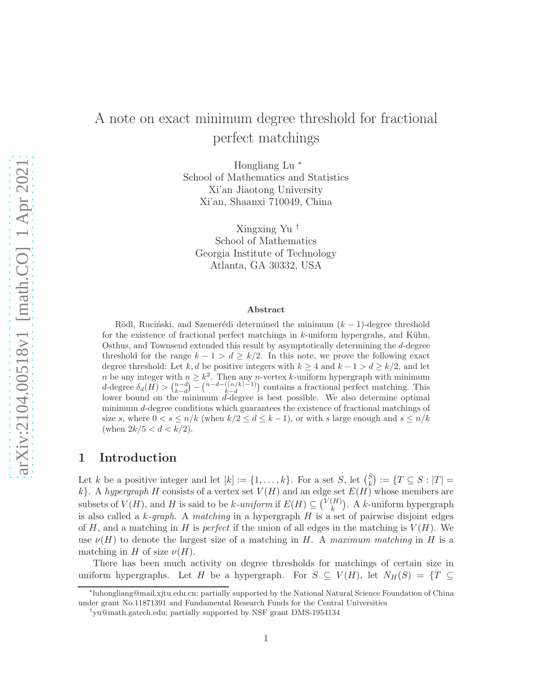# A note on exact minimum degree threshold for fractional perfect matchings

Hongliang Lu <sup>∗</sup> School of Mathematics and Statistics Xi'an Jiaotong University Xi'an, Shaanxi 710049, China

Xingxing Yu † School of Mathematics Georgia Institute of Technology Atlanta, GA 30332, USA

#### Abstract

Rödl, Ruciński, and Szemerédi determined the minimum  $(k - 1)$ -degree threshold for the existence of fractional perfect matchings in  $k$ -uniform hypergrahs, and Kühn, Osthus, and Townsend extended this result by asymptotically determining the d-degree threshold for the range  $k - 1 > d \geq k/2$ . In this note, we prove the following exact degree threshold: Let k, d be positive integers with  $k > 4$  and  $k - 1 > d > k/2$ , and let *n* be any integer with  $n \geq k^2$ . Then any *n*-vertex *k*-uniform hypergraph with minimum d-degree  $\delta_d(H) > \binom{n-d}{k-d} - \binom{n-d-(\lceil n/k \rceil-1)}{k-d}$  contains a fractional perfect matching. This lower bound on the minimum  $\vec{d}$ -degree is best possible. We also determine optimal minimum d-degree conditions which guarantees the existence of fractional matchings of size s, where  $0 < s \le n/k$  (when  $k/2 \le d \le k-1$ ), or with s large enough and  $s \le n/k$ (when  $2k/5 < d < k/2$ ).

### 1 Introduction

Let k be a positive integer and let  $[k] := \{1, \ldots, k\}$ . For a set S, let  $\binom{S}{k}$  $\binom{S}{k} := \{T \subseteq S : |T| =$ k}. A hypergraph H consists of a vertex set  $V(H)$  and an edge set  $E(H)$  whose members are subsets of  $V(H)$ , and H is said to be k-uniform if  $E(H) \subseteq {V(H) \choose k}$  $\binom{H}{k}$ . A *k*-uniform hypergraph is also called a  $k$ -graph. A matching in a hypergraph H is a set of pairwise disjoint edges of H, and a matching in H is *perfect* if the union of all edges in the matching is  $V(H)$ . We use  $\nu(H)$  to denote the largest size of a matching in H. A maximum matching in H is a matching in H of size  $\nu(H)$ .

There has been much activity on degree thresholds for matchings of certain size in uniform hypergraphs. Let H be a hypergraph. For  $S \subseteq V(H)$ , let  $N_H(S) = \{T \subseteq$ 

<sup>∗</sup> luhongliang@mail.xjtu.edu.cn; partially supported by the National Natural Science Foundation of China under grant No.11871391 and Fundamental Research Funds for the Central Universities

<sup>†</sup> yu@math.gatech.edu; partially supported by NSF grant DMS-1954134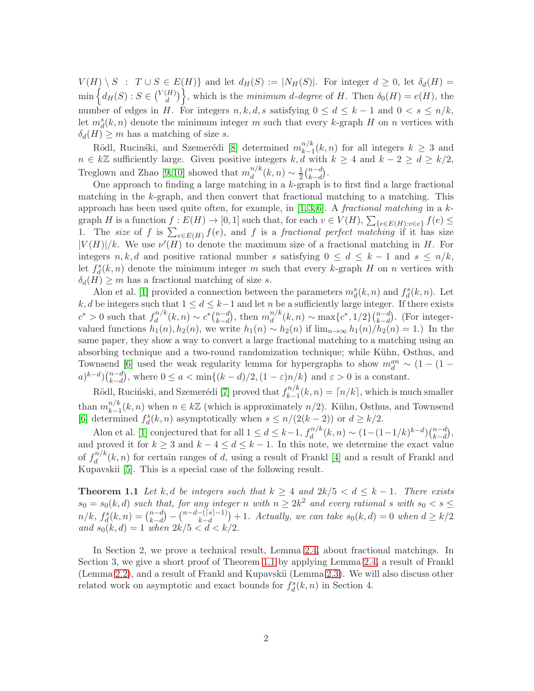$V(H) \setminus S$ :  $T \cup S \in E(H)$ } and let  $d_H(S) := |N_H(S)|$ . For integer  $d \geq 0$ , let  $\delta_d(H) =$  $\min\left\{d_H(S): S\in\binom{V(H)}{d}\right\}$  $\begin{pmatrix} H \\ d \end{pmatrix}$ , which is the *minimum d-degree* of H. Then  $\delta_0(H) = e(H)$ , the number of edges in H. For integers  $n, k, d, s$  satisfying  $0 \leq d \leq k-1$  and  $0 \leq s \leq n/k$ , let  $m_d^s(k, n)$  denote the minimum integer m such that every k-graph H on n vertices with  $\delta_d(H) \geq m$  has a matching of size s.

Rödl, Rucinski, and Szemerédi [\[8\]](#page-6-0) determined  $m_{k-1}^{n/k}$  $\binom{n}{k-1}(k,n)$  for all integers  $k \geq 3$  and  $n \in k\mathbb{Z}$  sufficiently large. Given positive integers  $k, d$  with  $k \geq 4$  and  $k-2 \geq d \geq k/2$ , Treglown and Zhao [\[9,](#page-6-1)10] showed that  $m_d^{n/k}$  $\frac{n}{d}(k,n) \sim \frac{1}{2}$  $rac{1}{2}$  $\binom{n-d}{k-d}$  $_{k-d}^{n-d}$ .

One approach to finding a large matching in a k-graph is to first find a large fractional matching in the k-graph, and then convert that fractional matching to a matching. This approach has been used quite often, for example, in  $[1, 3, 6]$  $[1, 3, 6]$  $[1, 3, 6]$ . A fractional matching in a kgraph H is a function  $f: E(H) \to [0,1]$  such that, for each  $v \in V(H)$ ,  $\sum_{\{e \in E(H): v \in e\}} f(e) \le$ 1. The size of f is  $\sum_{e \in E(H)} f(e)$ , and f is a fractional perfect matching if it has size  $|V(H)|/k$ . We use  $\nu'(H)$  to denote the maximum size of a fractional matching in H. For integers n, k, d and positive rational number s satisfying  $0 \leq d \leq k-1$  and  $s \leq n/k$ , let  $f_d^s(k, n)$  denote the minimum integer m such that every k-graph H on n vertices with  $\delta_d(H) \geq m$  has a fractional matching of size s.

Alon et al. [\[1\]](#page-5-0) provided a connection between the parameters  $m_d^s(k, n)$  and  $f_d^s(k, n)$ . Let k, d be integers such that  $1 \leq d \leq k-1$  and let n be a sufficiently large integer. If there exists  $c^* > 0$  such that  $f_d^{n/k}$  $d^{n/k}(k, n) \sim c^* \binom{n-d}{k-d}$  $_{k-d}^{n-d}$ , then  $m_d^{n/k}$  $\binom{n}{d}(k,n) \sim \max\{c^*,1/2\} \binom{n-d}{k-d}$  $_{k-d}^{n-d}$ ). (For integervalued functions  $h_1(n)$ ,  $h_2(n)$ , we write  $h_1(n) \sim h_2(n)$  if  $\lim_{n\to\infty} h_1(n)/h_2(n) = 1$ . In the same paper, they show a way to convert a large fractional matching to a matching using an absorbing technique and a two-round randomization technique; while Kühn, Osthus, and Townsend [\[6\]](#page-6-3) used the weak regularity lemma for hypergraphs to show  $m_d^{an} \sim (1 - (1$  $a)^{k-d}$  $\binom{n-d}{k-d}$  $\binom{n-d}{k-d}$ , where  $0 \le a < \min\{(k-d)/2, (1-\varepsilon)n/k\}$  and  $\varepsilon > 0$  is a constant.

Rödl, Ruciński, and Szemerédi [\[7\]](#page-6-4) proved that  $f_{k-1}^{n/k}$  $\binom{n}{k-1}(k,n) = \lceil n/k \rceil$ , which is much smaller than  $m_{k-1}^{n/k}$  $_{k-1}^{n/k}(k, n)$  when  $n \in k\mathbb{Z}$  (which is approximately  $n/2$ ). Kühn, Osthus, and Townsend [\[6\]](#page-6-3) determined  $f_d^s(k, n)$  asymptotically when  $s \leq n/(2(k-2))$  or  $d \geq k/2$ .

Alon et al. [\[1\]](#page-5-0) conjectured that for all  $1 \leq d \leq k-1$ ,  $f_d^{n/k}$  $\binom{n}{d}(k,n) \sim (1-(1-1/k)^{k-d})\binom{n-d}{k-d}$  $_{k-d}^{n-d}),$ and proved it for  $k \geq 3$  and  $k - 4 \leq d \leq k - 1$ . In this note, we determine the exact value of  $f_d^{n/k}$  $d_d^{n/k}(k, n)$  for certain ranges of d, using a result of Frankl [\[4\]](#page-5-2) and a result of Frankl and Kupavskii [\[5\]](#page-5-3). This is a special case of the following result.

<span id="page-1-0"></span>**Theorem 1.1** Let k, d be integers such that  $k \geq 4$  and  $2k/5 < d \leq k-1$ . There exists  $s_0 = s_0(k, d)$  such that, for any integer n with  $n \geq 2k^2$  and every rational s with  $s_0 < s \leq$  $n/k, f_d^s(k, n) = {n-d \choose k-d}$  $\binom{n-d}{k-d} - \binom{n-d-(\lceil s \rceil-1)}{k-d} + 1.$  Actually, we can take  $s_0(k,d) = 0$  when  $d \geq k/2$ and  $s_0(k, d) = 1$  when  $2k/5 < d < k/2$ .

In Section 2, we prove a technical result, Lemma [2.4,](#page-2-0) about fractional matchings. In Section 3, we give a short proof of Theorem [1.1](#page-1-0) by applying Lemma [2.4,](#page-2-0) a result of Frankl (Lemma [2.2\)](#page-2-1), and a result of Frankl and Kupavskii (Lemma [2.3\)](#page-2-2). We will also discuss other related work on asymptotic and exact bounds for  $f_d^s(k, n)$  in Section 4.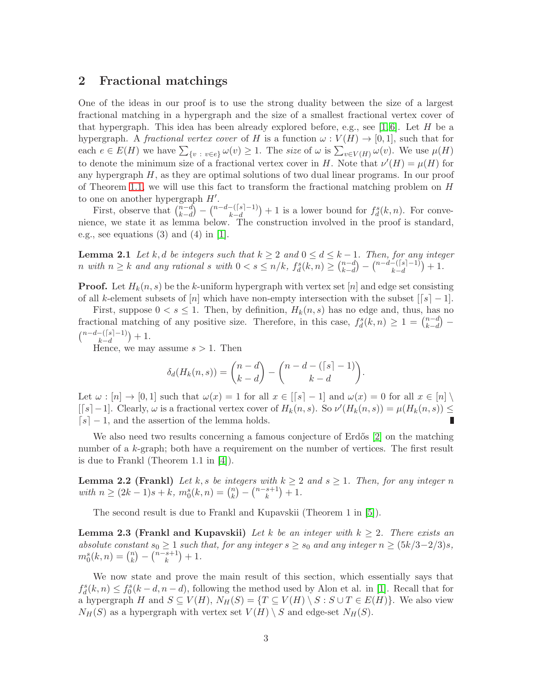#### 2 Fractional matchings

One of the ideas in our proof is to use the strong duality between the size of a largest fractional matching in a hypergraph and the size of a smallest fractional vertex cover of that hypergraph. This idea has been already explored before, e.g., see [\[1,](#page-5-0)6]. Let H be a hypergraph. A *fractional vertex cover* of H is a function  $\omega : V(H) \to [0,1]$ , such that for each  $e \in E(H)$  we have  $\sum_{\{v : v \in e\}} \omega(v) \ge 1$ . The size of  $\omega$  is  $\sum_{v \in V(H)} \omega(v)$ . We use  $\mu(H)$ to denote the minimum size of a fractional vertex cover in H. Note that  $\nu'(H) = \mu(H)$  for any hypergraph  $H$ , as they are optimal solutions of two dual linear programs. In our proof of Theorem [1.1,](#page-1-0) we will use this fact to transform the fractional matching problem on H to one on another hypergraph  $H'$ .

First, observe that  $\binom{n-d}{k-d}$  $\binom{n-d}{k-d} - \binom{n-d-(\lceil s \rceil-1)}{k-d} + 1$  is a lower bound for  $f_d^s(k,n)$ . For convenience, we state it as lemma below. The construction involved in the proof is standard, e.g., see equations  $(3)$  and  $(4)$  in [\[1\]](#page-5-0).

<span id="page-2-3"></span>**Lemma 2.1** Let k, d be integers such that  $k \geq 2$  and  $0 \leq d \leq k-1$ . Then, for any integer n with  $n \geq k$  and any rational s with  $0 < s \leq n/k$ ,  $f_d^s(k,n) \geq \binom{n-d}{k-d}$  $_{k-d}^{n-d}$ ) –  $\binom{n-d-(\lceil s \rceil-1)}{k-d}+1$ .

**Proof.** Let  $H_k(n, s)$  be the k-uniform hypergraph with vertex set [n] and edge set consisting of all k-element subsets of [n] which have non-empty intersection with the subset  $\lfloor s \rfloor - 1$ .

First, suppose  $0 < s \leq 1$ . Then, by definition,  $H_k(n, s)$  has no edge and, thus, has no fractional matching of any positive size. Therefore, in this case,  $f_d^s(k,n) \geq 1 = \binom{n-d}{k-d}$  $_{k-d}^{n-d}$ ) –  $\binom{n-d-([s]-1)}{k-d}$  $\binom{-1}{k-d}+1.$ 

Hence, we may assume  $s > 1$ . Then

$$
\delta_d(H_k(n,s)) = \binom{n-d}{k-d} - \binom{n-d-(\lceil s \rceil-1)}{k-d}.
$$

Let  $\omega : [n] \to [0,1]$  such that  $\omega(x) = 1$  for all  $x \in [s] - 1$  and  $\omega(x) = 0$  for all  $x \in [n] \setminus$  $[[s]-1]$ . Clearly,  $\omega$  is a fractional vertex cover of  $H_k(n, s)$ . So  $\nu'(H_k(n, s)) = \mu(H_k(n, s)) \le$  $[s] - 1$ , and the assertion of the lemma holds. П

We also need two results concerning a famous conjecture of  $Erd\ddot{\alpha}$  [\[2\]](#page-5-4) on the matching number of a k-graph; both have a requirement on the number of vertices. The first result is due to Frankl (Theorem 1.1 in [\[4\]](#page-5-2)).

<span id="page-2-1"></span>**Lemma 2.2 (Frankl)** Let k, s be integers with  $k \geq 2$  and  $s \geq 1$ . Then, for any integer n with  $n \geq (2k-1)s + k, m_0^s(k,n) = {n \choose k}$  $\binom{n}{k} - \binom{n-s+1}{k}$  ${k+1 \choose k} + 1.$ 

<span id="page-2-2"></span>The second result is due to Frankl and Kupavskii (Theorem 1 in [\[5\]](#page-5-3)).

**Lemma 2.3 (Frankl and Kupavskii)** Let k be an integer with  $k \geq 2$ . There exists an absolute constant  $s_0 \geq 1$  such that, for any integer  $s \geq s_0$  and any integer  $n \geq (5k/3-2/3)s$ ,  $m_0^s(k, n) = {n \choose k}$  $\binom{n}{k} - \binom{n-s+1}{k}$  ${k+1 \choose k} + 1.$ 

<span id="page-2-0"></span>We now state and prove the main result of this section, which essentially says that  $f_d^s(k,n) \leq f_0^s(k-d,n-d)$ , following the method used by Alon et al. in [\[1\]](#page-5-0). Recall that for a hypergraph H and  $S \subseteq V(H)$ ,  $N_H(S) = \{T \subseteq V(H) \setminus S : S \cup T \in E(H)\}$ . We also view  $N_H(S)$  as a hypergraph with vertex set  $V(H) \setminus S$  and edge-set  $N_H(S)$ .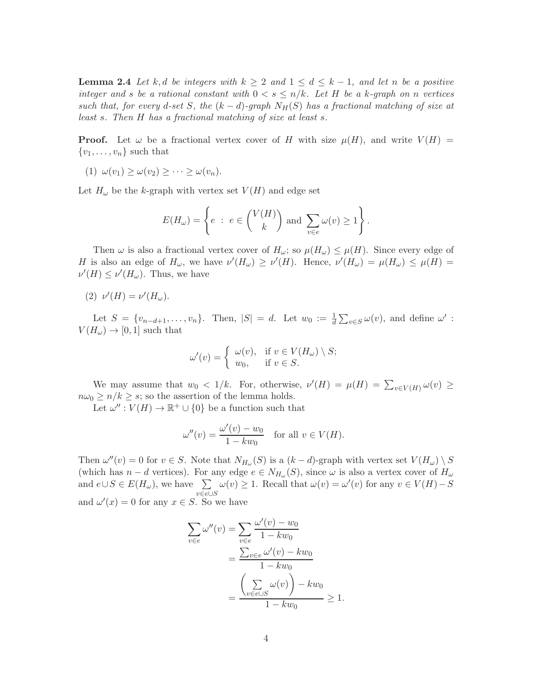**Lemma 2.4** Let k, d be integers with  $k \geq 2$  and  $1 \leq d \leq k-1$ , and let n be a positive integer and s be a rational constant with  $0 < s \leq n/k$ . Let H be a k-graph on n vertices such that, for every d-set S, the  $(k-d)$ -graph  $N_H(S)$  has a fractional matching of size at least s. Then H has a fractional matching of size at least s.

**Proof.** Let  $\omega$  be a fractional vertex cover of H with size  $\mu(H)$ , and write  $V(H)$  =  $\{v_1, \ldots, v_n\}$  such that

$$
(1) \ \omega(v_1) \geq \omega(v_2) \geq \cdots \geq \omega(v_n).
$$

Let  $H_{\omega}$  be the k-graph with vertex set  $V(H)$  and edge set

$$
E(H_{\omega}) = \left\{ e : e \in {V(H) \choose k} \text{ and } \sum_{v \in e} \omega(v) \ge 1 \right\}.
$$

Then  $\omega$  is also a fractional vertex cover of  $H_{\omega}$ ; so  $\mu(H_{\omega}) \leq \mu(H)$ . Since every edge of H is also an edge of  $H_{\omega}$ , we have  $\nu'(H_{\omega}) \ge \nu'(H)$ . Hence,  $\nu'(H_{\omega}) = \mu(H_{\omega}) \le \mu(H)$  $\nu'(H) \leq \nu'(H_{\omega})$ . Thus, we have

$$
(2) \ \nu'(H) = \nu'(H_{\omega}).
$$

Let  $S = \{v_{n-d+1}, \ldots, v_n\}$ . Then,  $|S| = d$ . Let  $w_0 := \frac{1}{d} \sum_{v \in S} \omega(v)$ , and define  $\omega'$ :  $V(H_{\omega}) \rightarrow [0, 1]$  such that

$$
\omega'(v) = \begin{cases} \omega(v), & \text{if } v \in V(H_\omega) \setminus S; \\ w_0, & \text{if } v \in S. \end{cases}
$$

We may assume that  $w_0 < 1/k$ . For, otherwise,  $\nu'(H) = \mu(H) = \sum_{v \in V(H)} \omega(v) \ge$  $n\omega_0 \geq n/k \geq s$ ; so the assertion of the lemma holds.

Let  $\omega'' : V(H) \to \mathbb{R}^+ \cup \{0\}$  be a function such that

$$
\omega''(v) = \frac{\omega'(v) - w_0}{1 - kw_0} \quad \text{for all } v \in V(H).
$$

Then  $\omega''(v) = 0$  for  $v \in S$ . Note that  $N_{H_{\omega}}(S)$  is a  $(k-d)$ -graph with vertex set  $V(H_{\omega}) \setminus S$ (which has  $n - d$  vertices). For any edge  $e \in N_{H_{\omega}}(S)$ , since  $\omega$  is also a vertex cover of  $H_{\omega}$ and  $e \cup S \in E(H_\omega)$ , we have  $\sum$ v∈e∪S  $\omega(v) \geq 1$ . Recall that  $\omega(v) = \omega'(v)$  for any  $v \in V(H) - S$ and  $\omega'(x) = 0$  for any  $x \in S$ . So we have

$$
\sum_{v \in e} \omega''(v) = \sum_{v \in e} \frac{\omega'(v) - w_0}{1 - kw_0}
$$

$$
= \frac{\sum_{v \in e} \omega'(v) - kw_0}{1 - kw_0}
$$

$$
= \frac{\left(\sum_{v \in e \cup S} \omega(v)\right) - kw_0}{1 - kw_0} \ge 1.
$$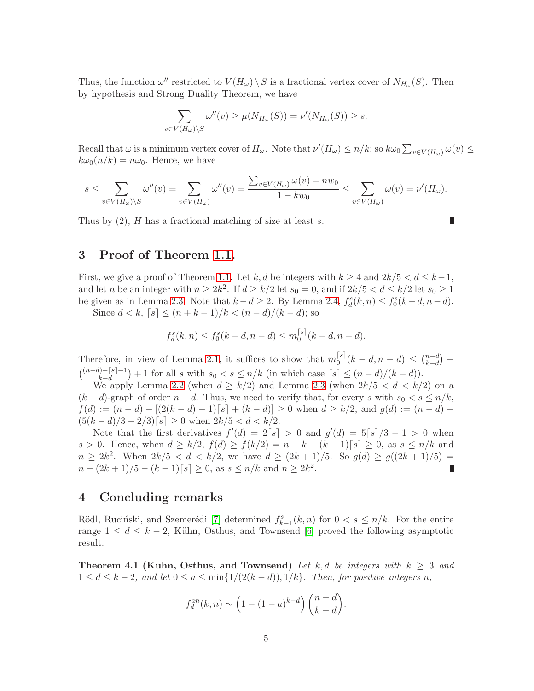Thus, the function  $\omega''$  restricted to  $V(H_{\omega}) \setminus S$  is a fractional vertex cover of  $N_{H_{\omega}}(S)$ . Then by hypothesis and Strong Duality Theorem, we have

$$
\sum_{v \in V(H_{\omega}) \setminus S} \omega''(v) \ge \mu(N_{H_{\omega}}(S)) = \nu'(N_{H_{\omega}}(S)) \ge s.
$$

Recall that  $\omega$  is a minimum vertex cover of  $H_{\omega}$ . Note that  $\nu'(H_{\omega}) \leq n/k$ ; so  $k\omega_0 \sum_{v \in V(H_{\omega})} \omega(v) \leq$  $k\omega_0(n/k) = n\omega_0$ . Hence, we have

$$
s \leq \sum_{v \in V(H_{\omega}) \setminus S} \omega''(v) = \sum_{v \in V(H_{\omega})} \omega''(v) = \frac{\sum_{v \in V(H_{\omega})} \omega(v) - n w_0}{1 - k w_0} \leq \sum_{v \in V(H_{\omega})} \omega(v) = \nu'(H_{\omega}).
$$

Thus by  $(2)$ , H has a fractional matching of size at least s.

 $\overline{\mathcal{L}}$ 

## 3 Proof of Theorem [1.1.](#page-1-0)

First, we give a proof of Theorem [1.1.](#page-1-0) Let k, d be integers with  $k \geq 4$  and  $2k/5 < d \leq k-1$ , and let *n* be an integer with  $n \geq 2k^2$ . If  $d \geq k/2$  let  $s_0 = 0$ , and if  $2k/5 < d \leq k/2$  let  $s_0 \geq 1$ be given as in Lemma [2.3.](#page-2-2) Note that  $k - d \ge 2$ . By Lemma [2.4,](#page-2-0)  $f_d^s(k, n) \le f_0^s(k - d, n - d)$ .

Since  $d < k$ ,  $[s] \leq (n + k - 1)/k < (n - d)/(k - d)$ ; so

$$
f_d^s(k, n) \le f_0^s(k - d, n - d) \le m_0^{\lceil s \rceil}(k - d, n - d).
$$

Therefore, in view of Lemma [2.1,](#page-2-3) it suffices to show that  $m_0^{[s]}$  $\binom{|s|}{0} (k-d, n-d) \leq \binom{n-d}{k-d}$  $_{k-d}^{n-d}$ ) –  $\binom{(n-d)-[s]+1}{k-d}$  $\binom{n-|s|+1}{k-d}+1$  for all s with  $s_0 < s \leq n/k$  (in which case  $\lceil s \rceil \leq (n-d)/(k-d)$ ).

We apply Lemma [2.2](#page-2-1) (when  $d \geq k/2$ ) and Lemma [2.3](#page-2-2) (when  $2k/5 < d < k/2$ ) on a  $(k-d)$ -graph of order  $n-d$ . Thus, we need to verify that, for every s with  $s_0 < s \leq n/k$ ,  $f(d) := (n - d) - [(2(k - d) - 1)\sqrt{s}] + (k - d)] \ge 0$  when  $d \ge k/2$ , and  $g(d) := (n - d) (5(k-d)/3-2/3)\lceil s \rceil \ge 0$  when  $2k/5 < d < k/2$ .

Note that the first derivatives  $f'(d) = 2[s] > 0$  and  $g'(d) = 5[s]/3 - 1 > 0$  when s > 0. Hence, when  $d \ge k/2$ ,  $f(d) \ge f(k/2) = n - k - (k-1)$ [s]  $\ge 0$ , as  $s \le n/k$  and  $n \geq 2k^2$ . When  $2k/5 < d < k/2$ , we have  $d \geq (2k+1)/5$ . So  $g(d) \geq g((2k+1)/5)$  $n - (2k+1)/5 - (k-1)$ [s]  $\geq 0$ , as  $s \leq n/k$  and  $n \geq 2k^2$ . П

#### 4 Concluding remarks

Rödl, Ruciński, and Szemerédi [\[7\]](#page-6-4) determined  $f_{k-1}^s(k, n)$  for  $0 < s \leq n/k$ . For the entire range  $1 \leq d \leq k-2$ , Kühn, Osthus, and Townsend [\[6\]](#page-6-3) proved the following asymptotic result.

**Theorem 4.1 (Kuhn, Osthus, and Townsend)** Let k, d be integers with  $k \geq 3$  and  $1 \leq d \leq k-2$ , and let  $0 \leq a \leq \min\{1/(2(k-d)), 1/k\}$ . Then, for positive integers n,

$$
f_d^{an}(k,n) \sim \left(1 - (1-a)^{k-d}\right) \binom{n-d}{k-d}.
$$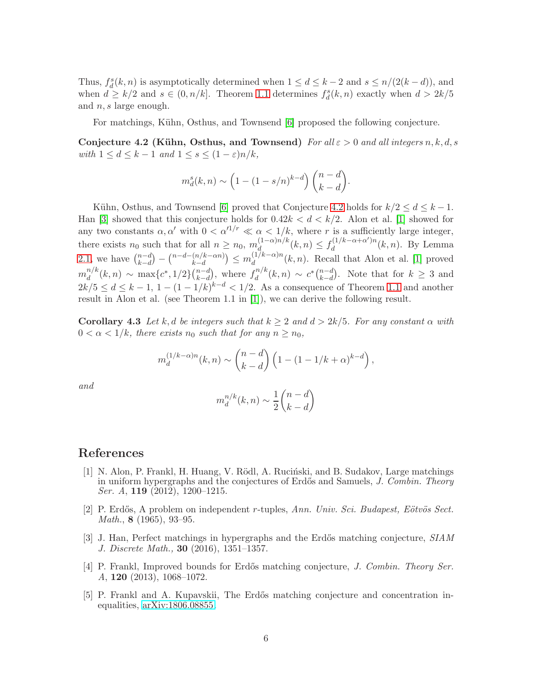Thus,  $f_d^s(k, n)$  is asymptotically determined when  $1 \leq d \leq k-2$  and  $s \leq n/(2(k-d))$ , and when  $d \ge k/2$  and  $s \in (0, n/k]$ . Theorem [1.1](#page-1-0) determines  $f_d^s(k,n)$  exactly when  $d > 2k/5$ and n, s large enough.

For matchings, Kühn, Osthus, and Townsend [\[6\]](#page-6-3) proposed the following conjecture.

Conjecture 4.2 (Kühn, Osthus, and Townsend) For all  $\varepsilon > 0$  and all integers n, k, d, s with  $1 \leq d \leq k-1$  and  $1 \leq s \leq (1-\varepsilon)n/k$ ,

<span id="page-5-5"></span>
$$
m_d^s(k,n) \sim \left(1 - (1 - s/n)^{k-d}\right) \binom{n-d}{k-d}.
$$

Kühn, Osthus, and Townsend [\[6\]](#page-6-3) proved that Conjecture [4.2](#page-5-5) holds for  $k/2 \leq d \leq k-1$ . Han [\[3\]](#page-5-1) showed that this conjecture holds for  $0.42k < d < k/2$ . Alon et al. [\[1\]](#page-5-0) showed for any two constants  $\alpha, \alpha'$  with  $0 < \alpha'^{1/r} \ll \alpha < 1/k$ , where r is a sufficiently large integer, there exists  $n_0$  such that for all  $n \geq n_0$ ,  $m_d^{(1-\alpha)n/k}$  $d_{d_{\alpha}}^{(1-\alpha)n/k}(k,n) \leq f_d^{(1/k-\alpha+\alpha')n}$  $\frac{d^{(1/\kappa-\alpha+\alpha)m}(k,n)}{d}$ . By Lemma [2.1,](#page-2-3) we have  $\binom{n-d}{k-d}$  $\binom{n-d}{k-d} - \binom{n-d-(n/k-\alpha n)}{k-d} \leq m_d^{(1/k-\alpha)n}$  $\frac{d^{(1/\kappa-\alpha)n}(k,n)}{d}$ . Recall that Alon et al. [\[1\]](#page-5-0) proved  $m_d^{n/k}$  $\frac{n}{d}(k,n) \sim \max\{c^*,1/2\}\binom{n-d}{k-d}$  $_{k-d}^{n-d}$ , where  $f_d^{n/k}$  $d^{n/k}(k,n) \sim c^* \binom{n-d}{k-d}$  $_{k-d}^{n-d}$ ). Note that for  $k \geq 3$  and  $2k/5 \leq d \leq k-1, 1-(1-1/k)^{k-d} < 1/2.$  As a consequence of Theorem [1.1](#page-1-0) and another result in Alon et al. (see Theorem 1.1 in [\[1\]](#page-5-0)), we can derive the following result.

Corollary 4.3 Let k, d be integers such that  $k \geq 2$  and  $d > 2k/5$ . For any constant  $\alpha$  with  $0 < \alpha < 1/k$ , there exists  $n_0$  such that for any  $n \geq n_0$ ,

$$
m_d^{(1/k-\alpha)n}(k,n) \sim \binom{n-d}{k-d} \left(1 - (1 - 1/k + \alpha)^{k-d}\right),
$$

and

$$
m_d^{n/k}(k, n) \sim \frac{1}{2} \binom{n-d}{k-d}
$$

#### <span id="page-5-0"></span>References

- [1] N. Alon, P. Frankl, H. Huang, V. Rödl, A. Ruciński, and B. Sudakov, Large matchings in uniform hypergraphs and the conjectures of Erdős and Samuels, J. Combin. Theory Ser. A, **119** (2012), 1200-1215.
- <span id="page-5-4"></span>[2] P. Erdős, A problem on independent r-tuples, Ann. Univ. Sci. Budapest, Eötvös Sect. Math., 8 (1965), 93–95.
- <span id="page-5-1"></span>[3] J. Han, Perfect matchings in hypergraphs and the Erdős matching conjecture, SIAM J. Discrete Math., 30 (2016), 1351–1357.
- <span id="page-5-2"></span>[4] P. Frankl, Improved bounds for Erdős matching conjecture, J. Combin. Theory Ser. A, 120 (2013), 1068–1072.
- <span id="page-5-3"></span>[5] P. Frankl and A. Kupavskii, The Erdős matching conjecture and concentration inequalities, [arXiv:1806.08855.](http://arxiv.org/abs/1806.08855)